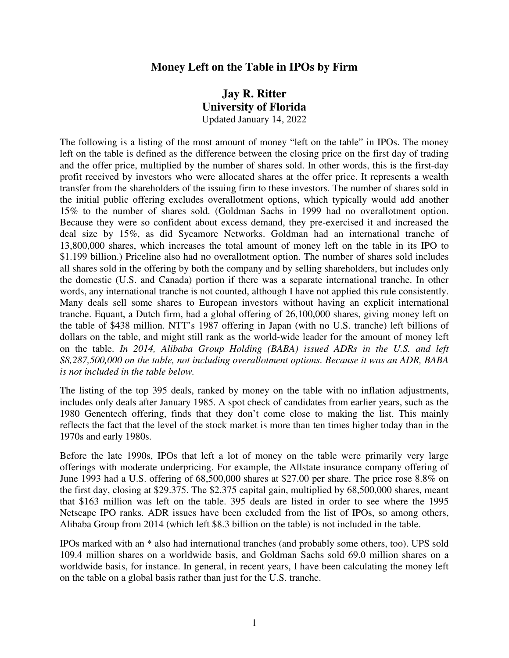## **Money Left on the Table in IPOs by Firm**

## **Jay R. Ritter University of Florida**  Updated January 14, 2022

The following is a listing of the most amount of money "left on the table" in IPOs. The money left on the table is defined as the difference between the closing price on the first day of trading and the offer price, multiplied by the number of shares sold. In other words, this is the first-day profit received by investors who were allocated shares at the offer price. It represents a wealth transfer from the shareholders of the issuing firm to these investors. The number of shares sold in the initial public offering excludes overallotment options, which typically would add another 15% to the number of shares sold. (Goldman Sachs in 1999 had no overallotment option. Because they were so confident about excess demand, they pre-exercised it and increased the deal size by 15%, as did Sycamore Networks. Goldman had an international tranche of 13,800,000 shares, which increases the total amount of money left on the table in its IPO to \$1.199 billion.) Priceline also had no overallotment option. The number of shares sold includes all shares sold in the offering by both the company and by selling shareholders, but includes only the domestic (U.S. and Canada) portion if there was a separate international tranche. In other words, any international tranche is not counted, although I have not applied this rule consistently. Many deals sell some shares to European investors without having an explicit international tranche. Equant, a Dutch firm, had a global offering of 26,100,000 shares, giving money left on the table of \$438 million. NTT's 1987 offering in Japan (with no U.S. tranche) left billions of dollars on the table, and might still rank as the world-wide leader for the amount of money left on the table. *In 2014, Alibaba Group Holding (BABA) issued ADRs in the U.S. and left \$8,287,500,000 on the table, not including overallotment options. Because it was an ADR, BABA is not included in the table below.* 

The listing of the top 395 deals, ranked by money on the table with no inflation adjustments, includes only deals after January 1985. A spot check of candidates from earlier years, such as the 1980 Genentech offering, finds that they don't come close to making the list. This mainly reflects the fact that the level of the stock market is more than ten times higher today than in the 1970s and early 1980s.

Before the late 1990s, IPOs that left a lot of money on the table were primarily very large offerings with moderate underpricing. For example, the Allstate insurance company offering of June 1993 had a U.S. offering of 68,500,000 shares at \$27.00 per share. The price rose 8.8% on the first day, closing at \$29.375. The \$2.375 capital gain, multiplied by 68,500,000 shares, meant that \$163 million was left on the table. 395 deals are listed in order to see where the 1995 Netscape IPO ranks. ADR issues have been excluded from the list of IPOs, so among others, Alibaba Group from 2014 (which left \$8.3 billion on the table) is not included in the table.

IPOs marked with an \* also had international tranches (and probably some others, too). UPS sold 109.4 million shares on a worldwide basis, and Goldman Sachs sold 69.0 million shares on a worldwide basis, for instance. In general, in recent years, I have been calculating the money left on the table on a global basis rather than just for the U.S. tranche.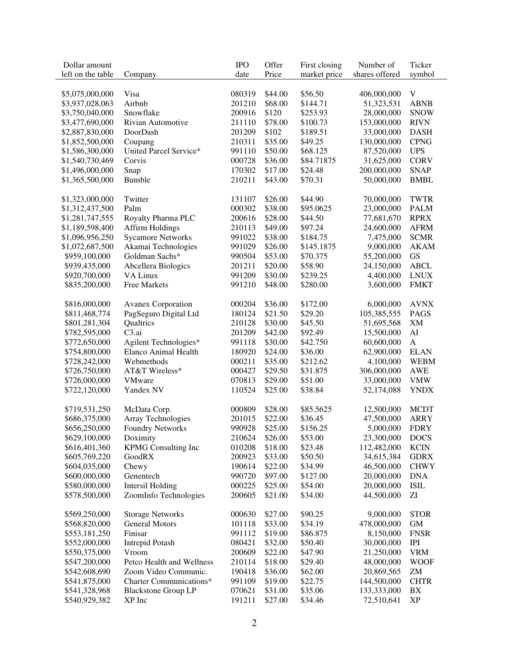| Dollar amount     |                            | <b>IPO</b> | Offer   | First closing | Number of      | Ticker       |
|-------------------|----------------------------|------------|---------|---------------|----------------|--------------|
| left on the table | Company                    | date       | Price   | market price  | shares offered | symbol       |
|                   |                            |            |         |               |                |              |
| \$5,075,000,000   | Visa                       | 080319     | \$44.00 | \$56.50       | 406,000,000    | V            |
| \$3,937,028,063   | Airbnb                     | 201210     | \$68.00 | \$144.71      | 51,323,531     | <b>ABNB</b>  |
| \$3,750,040,000   | Snowflake                  | 200916     | \$120   | \$253.93      | 28,000,000     | <b>SNOW</b>  |
| \$3,477,690,000   | Rivian Automotive          | 211110     | \$78.00 | \$100.73      | 153,000,000    | <b>RIVN</b>  |
| \$2,887,830,000   | DoorDash                   | 201209     | \$102   | \$189.51      | 33,000,000     | <b>DASH</b>  |
| \$1,852,500,000   | Coupang                    | 210311     | \$35.00 | \$49.25       | 130,000,000    | <b>CPNG</b>  |
| \$1,586,300,000   | United Parcel Service*     | 991110     | \$50.00 | \$68.125      | 87,520,000     | <b>UPS</b>   |
| \$1,540,730,469   | Corvis                     | 000728     | \$36.00 | \$84.71875    | 31,625,000     | <b>CORV</b>  |
| \$1,496,000,000   | Snap                       | 170302     | \$17.00 | \$24.48       | 200,000,000    | <b>SNAP</b>  |
| \$1,365,500,000   | <b>Bumble</b>              | 210211     | \$43.00 | \$70.31       | 50,000,000     | <b>BMBL</b>  |
|                   |                            |            |         |               |                |              |
| \$1,323,000,000   | Twitter                    | 131107     | \$26.00 | \$44.90       | 70,000,000     | <b>TWTR</b>  |
| \$1,312,437,500   | Palm                       | 000302     | \$38.00 | \$95.0625     | 23,000,000     | <b>PALM</b>  |
| \$1,281,747,555   | Royalty Pharma PLC         | 200616     | \$28.00 | \$44.50       | 77,681,670     | <b>RPRX</b>  |
| \$1,189,598,400   | <b>Affirm Holdings</b>     | 210113     | \$49.00 | \$97.24       | 24,600,000     | <b>AFRM</b>  |
|                   | <b>Sycamore Networks</b>   | 991022     | \$38.00 | \$184.75      | 7,475,000      | <b>SCMR</b>  |
| \$1,096,956,250   |                            |            |         |               |                |              |
| \$1,072,687,500   | Akamai Technologies        | 991029     | \$26.00 | \$145.1875    | 9,000,000      | <b>AKAM</b>  |
| \$959,100,000     | Goldman Sachs*             | 990504     | \$53.00 | \$70.375      | 55,200,000     | GS           |
| \$939,435,000     | Abcellera Biologics        | 201211     | \$20.00 | \$58.90       | 24,150,000     | <b>ABCL</b>  |
| \$920,700,000     | VA Linux                   | 991209     | \$30.00 | \$239.25      | 4,400,000      | <b>LNUX</b>  |
| \$835,200,000     | <b>Free Markets</b>        | 991210     | \$48.00 | \$280.00      | 3,600,000      | <b>FMKT</b>  |
|                   |                            |            |         |               |                |              |
| \$816,000,000     | <b>Avanex Corporation</b>  | 000204     | \$36.00 | \$172.00      | 6,000,000      | <b>AVNX</b>  |
| \$811,468,774     | PagSeguro Digital Ltd      | 180124     | \$21.50 | \$29.20       | 105,385,555    | <b>PAGS</b>  |
| \$801,281,304     | Qualtrics                  | 210128     | \$30.00 | \$45.50       | 51,695,568     | XM           |
| \$782,595,000     | C <sub>3.ai</sub>          | 201209     | \$42.00 | \$92.49       | 15,500,000     | ${\rm AI}$   |
| \$772,650,000     | Agilent Technologies*      | 991118     | \$30.00 | \$42.750      | 60,600,000     | $\mathbf{A}$ |
| \$754,800,000     | Elanco Animal Health       | 180920     | \$24.00 | \$36.00       | 62,900,000     | <b>ELAN</b>  |
| \$728,242,000     | Webmethods                 | 000211     | \$35.00 | \$212.62      | 4,100,000      | <b>WEBM</b>  |
| \$726,750,000     | AT&T Wireless*             | 000427     | \$29.50 | \$31.875      | 306,000,000    | <b>AWE</b>   |
| \$726,000,000     | <b>VMware</b>              | 070813     | \$29.00 | \$51.00       | 33,000,000     | <b>VMW</b>   |
| \$722,120,000     | Yandex NV                  | 110524     | \$25.00 | \$38.84       | 52,174,088     | <b>YNDX</b>  |
|                   |                            |            |         |               |                |              |
| \$719,531,250     | McData Corp.               | 000809     | \$28.00 | \$85.5625     | 12,500,000     | <b>MCDT</b>  |
| \$686,375,000     | Array Technologies         | 201015     | \$22.00 | \$36.45       | 47,500,000     | <b>ARRY</b>  |
| \$656,250,000     | <b>Foundry Networks</b>    | 990928     | \$25.00 | \$156.25      | 5,000,000      | <b>FDRY</b>  |
| \$629,100,000     | Doximity                   | 210624     | \$26.00 | \$53.00       | 23,300,000     | <b>DOCS</b>  |
| \$616,401,360     | <b>KPMG</b> Consulting Inc | 010208     | \$18.00 | \$23.48       | 112,482,000    | <b>KCIN</b>  |
| \$605,769,220     | GoodRX                     | 200923     | \$33.00 | \$50.50       | 34,615,384     | <b>GDRX</b>  |
| \$604,035,000     | Chewy                      | 190614     | \$22.00 | \$34.99       | 46,500,000     | <b>CHWY</b>  |
| \$600,000,000     | Genentech                  | 990720     | \$97.00 | \$127.00      | 20,000,000     | <b>DNA</b>   |
| \$580,000,000     | <b>Intersil Holding</b>    | 000225     | \$25.00 | \$54.00       | 20,000,000     | <b>ISIL</b>  |
| \$578,500,000     | ZoomInfo Technologies      | 200605     | \$21.00 | \$34.00       | 44,500,000     | ZI           |
|                   |                            |            |         |               |                |              |
| \$569,250,000     | <b>Storage Networks</b>    | 000630     | \$27.00 | \$90.25       | 9,000,000      | <b>STOR</b>  |
| \$568,820,000     | <b>General Motors</b>      | 101118     | \$33.00 | \$34.19       | 478,000,000    | <b>GM</b>    |
| \$553,181,250     | Finisar                    | 991112     | \$19.00 | \$86.875      | 8,150,000      | <b>FNSR</b>  |
| \$552,000,000     | Intrepid Potash            | 080421     | \$32.00 | \$50.40       | 30,000,000     | IPI          |
| \$550,375,000     | Vroom                      | 200609     | \$22.00 | \$47.90       | 21,250,000     | <b>VRM</b>   |
| \$547,200,000     | Petco Health and Wellness  | 210114     | \$18.00 | \$29.40       | 48,000,000     | <b>WOOF</b>  |
| \$542,608,690     | Zoom Video Communic.       | 190418     | \$36.00 | \$62.00       | 20,869,565     | ZM           |
| \$541,875,000     | Charter Communications*    | 991109     | \$19.00 | \$22.75       | 144,500,000    | <b>CHTR</b>  |
| \$541,328,968     | <b>Blackstone Group LP</b> | 070621     | \$31.00 | \$35.06       | 133,333,000    | BX           |
| \$540,929,382     | XP Inc                     | 191211     | \$27.00 | \$34.46       | 72,510,641     | XP           |
|                   |                            |            |         |               |                |              |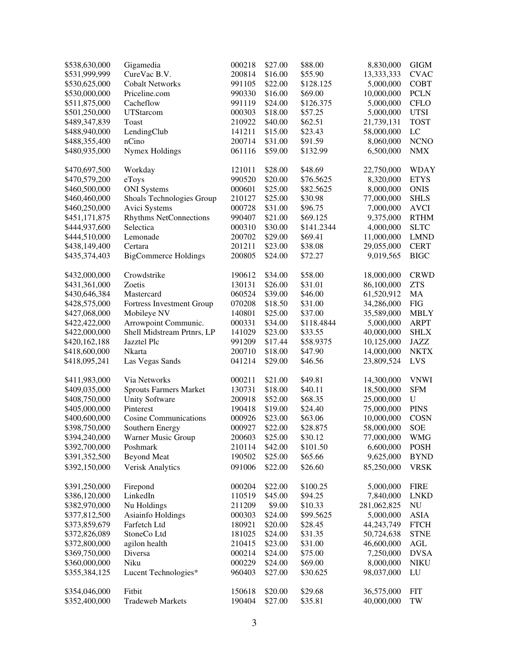| \$538,630,000 | Gigamedia                     | 000218 | \$27.00 | \$88.00    | 8,830,000   | <b>GIGM</b>          |
|---------------|-------------------------------|--------|---------|------------|-------------|----------------------|
| \$531,999,999 | CureVac B.V.                  | 200814 | \$16.00 | \$55.90    | 13,333,333  | <b>CVAC</b>          |
| \$530,625,000 | <b>Cobalt Networks</b>        | 991105 | \$22.00 | \$128.125  | 5,000,000   | <b>COBT</b>          |
| \$530,000,000 | Priceline.com                 | 990330 | \$16.00 | \$69.00    | 10,000,000  | <b>PCLN</b>          |
| \$511,875,000 | Cacheflow                     | 991119 | \$24.00 | \$126.375  | 5,000,000   | <b>CFLO</b>          |
| \$501,250,000 | <b>UTStarcom</b>              | 000303 | \$18.00 | \$57.25    | 5,000,000   | <b>UTSI</b>          |
| \$489,347,839 | Toast                         | 210922 | \$40.00 | \$62.51    | 21,739,131  | <b>TOST</b>          |
| \$488,940,000 | LendingClub                   | 141211 | \$15.00 | \$23.43    | 58,000,000  | LC                   |
| \$488,355,400 | nCino                         | 200714 | \$31.00 | \$91.59    | 8,060,000   | <b>NCNO</b>          |
| \$480,935,000 | <b>Nymex Holdings</b>         | 061116 | \$59.00 | \$132.99   | 6,500,000   | <b>NMX</b>           |
|               |                               |        |         |            |             |                      |
| \$470,697,500 | Workday                       | 121011 | \$28.00 | \$48.69    | 22,750,000  | <b>WDAY</b>          |
| \$470,579,200 | eToys                         | 990520 | \$20.00 | \$76.5625  | 8,320,000   | <b>ETYS</b>          |
| \$460,500,000 | <b>ONI</b> Systems            | 000601 | \$25.00 | \$82.5625  | 8,000,000   | <b>ONIS</b>          |
| \$460,460,000 | Shoals Technologies Group     | 210127 | \$25.00 | \$30.98    | 77,000,000  | <b>SHLS</b>          |
| \$460,250,000 | Avici Systems                 | 000728 | \$31.00 | \$96.75    | 7,000,000   | <b>AVCI</b>          |
| \$451,171,875 | <b>Rhythms NetConnections</b> | 990407 | \$21.00 | \$69.125   | 9,375,000   | <b>RTHM</b>          |
| \$444,937,600 | Selectica                     | 000310 | \$30.00 | \$141.2344 | 4,000,000   | <b>SLTC</b>          |
| \$444,510,000 | Lemonade                      | 200702 | \$29.00 | \$69.41    | 11,000,000  | <b>LMND</b>          |
| \$438,149,400 | Certara                       | 201211 | \$23.00 | \$38.08    | 29,055,000  | <b>CERT</b>          |
| \$435,374,403 | <b>BigCommerce Holdings</b>   | 200805 | \$24.00 | \$72.27    | 9,019,565   | <b>BIGC</b>          |
| \$432,000,000 | Crowdstrike                   | 190612 | \$34.00 | \$58.00    | 18,000,000  | <b>CRWD</b>          |
| \$431,361,000 | Zoetis                        | 130131 | \$26.00 | \$31.01    | 86,100,000  | <b>ZTS</b>           |
| \$430,646,384 | Mastercard                    | 060524 | \$39.00 | \$46.00    | 61,520,912  | MA                   |
| \$428,575,000 | Fortress Investment Group     | 070208 | \$18.50 | \$31.00    | 34,286,000  | <b>FIG</b>           |
| \$427,068,000 | Mobileye NV                   | 140801 | \$25.00 | \$37.00    | 35,589,000  | <b>MBLY</b>          |
| \$422,422,000 | Arrowpoint Communic.          | 000331 | \$34.00 | \$118.4844 | 5,000,000   | <b>ARPT</b>          |
| \$422,000,000 | Shell Midstream Prtnrs, LP    | 141029 | \$23.00 | \$33.55    | 40,000,000  | <b>SHLX</b>          |
| \$420,162,188 | Jazztel Plc                   | 991209 | \$17.44 | \$58.9375  | 10,125,000  | <b>JAZZ</b>          |
| \$418,600,000 | Nkarta                        | 200710 | \$18.00 | \$47.90    | 14,000,000  | <b>NKTX</b>          |
| \$418,095,241 | Las Vegas Sands               | 041214 | \$29.00 | \$46.56    | 23,809,524  | LVS                  |
|               |                               |        |         |            |             |                      |
| \$411,983,000 | Via Networks                  | 000211 | \$21.00 | \$49.81    | 14,300,000  | <b>VNWI</b>          |
| \$409,035,000 | <b>Sprouts Farmers Market</b> | 130731 | \$18.00 | \$40.11    | 18,500,000  | <b>SFM</b>           |
| \$408,750,000 | <b>Unity Software</b>         | 200918 | \$52.00 | \$68.35    | 25,000,000  | $\mathbf U$          |
| \$405,000,000 | Pinterest                     | 190418 | \$19.00 | \$24.40    | 75,000,000  | <b>PINS</b>          |
| \$400,600,000 | <b>Cosine Communications</b>  | 000926 | \$23.00 | \$63.06    | 10,000,000  | <b>COSN</b>          |
| \$398,750,000 | Southern Energy               | 000927 | \$22.00 | \$28.875   | 58,000,000  | <b>SOE</b>           |
| \$394,240,000 | Warner Music Group            | 200603 | \$25.00 | \$30.12    | 77,000,000  | <b>WMG</b>           |
| \$392,700,000 | Poshmark                      | 210114 | \$42.00 | \$101.50   | 6,600,000   | <b>POSH</b>          |
| \$391,352,500 | <b>Beyond Meat</b>            | 190502 | \$25.00 | \$65.66    | 9,625,000   | <b>BYND</b>          |
| \$392,150,000 | <b>Verisk Analytics</b>       | 091006 | \$22.00 | \$26.60    | 85,250,000  | <b>VRSK</b>          |
| \$391,250,000 | Firepond                      | 000204 | \$22.00 | \$100.25   | 5,000,000   | <b>FIRE</b>          |
| \$386,120,000 | LinkedIn                      | 110519 | \$45.00 | \$94.25    | 7,840,000   | <b>LNKD</b>          |
| \$382,970,000 | Nu Holdings                   | 211209 | \$9.00  | \$10.33    | 281,062,825 | <b>NU</b>            |
| \$377,812,500 | Asiainfo Holdings             | 000303 | \$24.00 | \$99.5625  | 5,000,000   | <b>ASIA</b>          |
| \$373,859,679 | Farfetch Ltd                  | 180921 | \$20.00 | \$28.45    | 44,243,749  | <b>FTCH</b>          |
| \$372,826,089 | StoneCo Ltd                   | 181025 | \$24.00 | \$31.35    | 50,724,638  | <b>STNE</b>          |
| \$372,800,000 | agilon health                 | 210415 | \$23.00 | \$31.00    | 46,600,000  | $\operatorname{AGL}$ |
| \$369,750,000 | Diversa                       | 000214 | \$24.00 | \$75.00    | 7,250,000   | <b>DVSA</b>          |
| \$360,000,000 | Niku                          | 000229 | \$24.00 | \$69.00    | 8,000,000   | <b>NIKU</b>          |
| \$355,384,125 | Lucent Technologies*          | 960403 | \$27.00 | \$30.625   | 98,037,000  | LU                   |
|               |                               |        |         |            |             |                      |
| \$354,046,000 | Fitbit                        | 150618 | \$20.00 | \$29.68    | 36,575,000  | <b>FIT</b>           |
| \$352,400,000 | <b>Tradeweb Markets</b>       | 190404 | \$27.00 | \$35.81    | 40,000,000  | $\operatorname{TW}$  |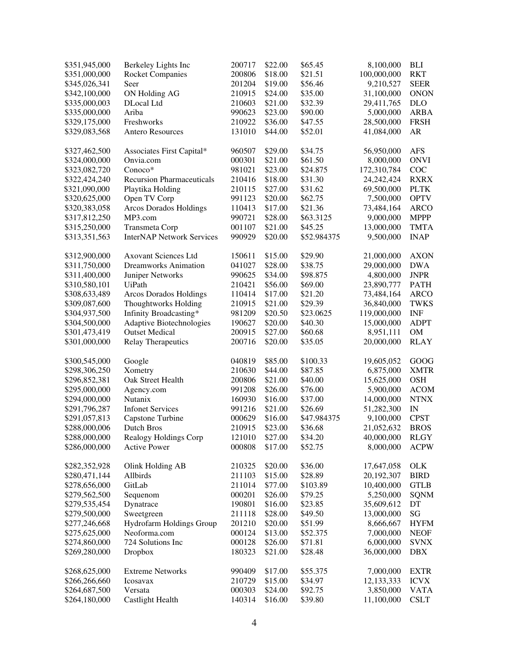| \$351,945,000                  | Berkeley Lights Inc              | 200717 | \$22.00 | \$65.45     | 8,100,000    | <b>BLI</b>  |
|--------------------------------|----------------------------------|--------|---------|-------------|--------------|-------------|
| \$351,000,000                  | <b>Rocket Companies</b>          | 200806 | \$18.00 | \$21.51     | 100,000,000  | <b>RKT</b>  |
| \$345,026,341                  | Seer                             | 201204 | \$19.00 | \$56.46     | 9,210,527    | <b>SEER</b> |
| \$342,100,000                  | ON Holding AG                    | 210915 | \$24.00 | \$35.00     | 31,100,000   | <b>ONON</b> |
| \$335,000,003                  | DLocal Ltd                       | 210603 | \$21.00 | \$32.39     | 29,411,765   | <b>DLO</b>  |
| \$335,000,000                  | Ariba                            | 990623 | \$23.00 | \$90.00     | 5,000,000    | <b>ARBA</b> |
| \$329,175,000                  | Freshworks                       | 210922 | \$36.00 | \$47.55     | 28,500,000   | <b>FRSH</b> |
| \$329,083,568                  | <b>Antero Resources</b>          | 131010 | \$44.00 | \$52.01     | 41,084,000   | AR          |
|                                |                                  |        |         |             |              |             |
| \$327,462,500                  | Associates First Capital*        | 960507 | \$29.00 | \$34.75     | 56,950,000   | <b>AFS</b>  |
| \$324,000,000                  | Onvia.com                        | 000301 | \$21.00 | \$61.50     | 8,000,000    | <b>ONVI</b> |
| \$323,082,720                  | Conoco*                          | 981021 | \$23.00 | \$24.875    | 172,310,784  | COC         |
| \$322,424,240                  | <b>Recursion Pharmaceuticals</b> | 210416 | \$18.00 | \$31.30     | 24, 242, 424 | <b>RXRX</b> |
| \$321,090,000                  | Playtika Holding                 | 210115 | \$27.00 | \$31.62     | 69,500,000   | <b>PLTK</b> |
| \$320,625,000                  | Open TV Corp                     | 991123 | \$20.00 | \$62.75     | 7,500,000    | <b>OPTV</b> |
| \$320,383,058                  | <b>Arcos Dorados Holdings</b>    | 110413 | \$17.00 | \$21.36     | 73,484,164   | <b>ARCO</b> |
| \$317,812,250                  | MP3.com                          | 990721 | \$28.00 | \$63.3125   | 9,000,000    | <b>MPPP</b> |
| \$315,250,000                  | Transmeta Corp                   | 001107 | \$21.00 | \$45.25     | 13,000,000   | <b>TMTA</b> |
| \$313,351,563                  | <b>InterNAP Network Services</b> | 990929 | \$20.00 | \$52.984375 | 9,500,000    | <b>INAP</b> |
|                                |                                  |        |         |             |              |             |
| \$312,900,000                  | <b>Axovant Sciences Ltd</b>      | 150611 | \$15.00 | \$29.90     | 21,000,000   | <b>AXON</b> |
| \$311,750,000                  | <b>Dreamworks Animation</b>      | 041027 | \$28.00 | \$38.75     | 29,000,000   | <b>DWA</b>  |
| \$311,400,000                  | Juniper Networks                 | 990625 | \$34.00 | \$98.875    | 4,800,000    | <b>JNPR</b> |
| \$310,580,101                  | UiPath                           | 210421 | \$56.00 | \$69.00     | 23,890,777   | <b>PATH</b> |
| \$308,633,489                  | <b>Arcos Dorados Holdings</b>    | 110414 | \$17.00 | \$21.20     | 73,484,164   | <b>ARCO</b> |
| \$309,087,600                  | <b>Thoughtworks Holding</b>      | 210915 | \$21.00 | \$29.39     | 36,840,000   | <b>TWKS</b> |
| \$304,937,500                  | Infinity Broadcasting*           | 981209 | \$20.50 | \$23.0625   | 119,000,000  | <b>INF</b>  |
| \$304,500,000                  | Adaptive Biotechnologies         | 190627 | \$20.00 | \$40.30     | 15,000,000   | <b>ADPT</b> |
| \$301,473,419                  | <b>Outset Medical</b>            | 200915 | \$27.00 | \$60.68     | 8,951,111    | <b>OM</b>   |
| \$301,000,000                  | <b>Relay Therapeutics</b>        | 200716 | \$20.00 | \$35.05     | 20,000,000   | <b>RLAY</b> |
|                                |                                  |        |         |             |              |             |
| \$300,545,000                  | Google                           | 040819 | \$85.00 | \$100.33    | 19,605,052   | GOOG        |
| \$298,306,250                  | Xometry                          | 210630 | \$44.00 | \$87.85     | 6,875,000    | <b>XMTR</b> |
| \$296,852,381                  | Oak Street Health                | 200806 | \$21.00 | \$40.00     | 15,625,000   | <b>OSH</b>  |
| \$295,000,000                  | Agency.com                       | 991208 | \$26.00 | \$76.00     | 5,900,000    | <b>ACOM</b> |
| \$294,000,000                  | Nutanix                          | 160930 | \$16.00 | \$37.00     | 14,000,000   | <b>NTNX</b> |
| \$291,796,287                  | <b>Infonet Services</b>          | 991216 | \$21.00 | \$26.69     | 51,282,300   | IN          |
| \$291,057,813                  | Capstone Turbine                 | 000629 | \$16.00 | \$47.984375 | 9,100,000    | <b>CPST</b> |
| \$288,000,006                  | Dutch Bros                       | 210915 | \$23.00 | \$36.68     | 21,052,632   | <b>BROS</b> |
| \$288,000,000                  | Realogy Holdings Corp            | 121010 | \$27.00 | \$34.20     | 40,000,000   | <b>RLGY</b> |
| \$286,000,000                  | <b>Active Power</b>              | 000808 | \$17.00 | \$52.75     | 8,000,000    | <b>ACPW</b> |
|                                |                                  |        |         |             |              |             |
| \$282,352,928                  | Olink Holding AB                 | 210325 | \$20.00 | \$36.00     | 17,647,058   | <b>OLK</b>  |
| \$280,471,144                  | Allbirds                         | 211103 | \$15.00 | \$28.89     | 20,192,307   | <b>BIRD</b> |
| \$278,656,000                  | GitLab                           | 211014 | \$77.00 | \$103.89    | 10,400,000   | <b>GTLB</b> |
| \$279,562,500                  | Sequenom                         | 000201 | \$26.00 | \$79.25     | 5,250,000    | <b>SQNM</b> |
| \$279,535,454                  | Dynatrace                        | 190801 | \$16.00 | \$23.85     | 35,609,612   | DT          |
| \$279,500,000                  | Sweetgreen                       | 211118 | \$28.00 | \$49.50     | 13,000,000   | SG          |
|                                | Hydrofarm Holdings Group         | 201210 | \$20.00 | \$51.99     | 8,666,667    | <b>HYFM</b> |
| \$277,246,668<br>\$275,625,000 | Neoforma.com                     | 000124 | \$13.00 | \$52.375    | 7,000,000    | <b>NEOF</b> |
| \$274,860,000                  | 724 Solutions Inc                | 000128 | \$26.00 | \$71.81     | 6,000,000    | <b>SVNX</b> |
| \$269,280,000                  |                                  | 180323 |         | \$28.48     | 36,000,000   | <b>DBX</b>  |
|                                | Dropbox                          |        | \$21.00 |             |              |             |
| \$268,625,000                  | <b>Extreme Networks</b>          | 990409 | \$17.00 | \$55.375    | 7,000,000    | <b>EXTR</b> |
| \$266,266,660                  | Icosavax                         | 210729 | \$15.00 | \$34.97     | 12,133,333   | <b>ICVX</b> |
| \$264,687,500                  | Versata                          | 000303 | \$24.00 | \$92.75     | 3,850,000    | <b>VATA</b> |
| \$264,180,000                  | <b>Castlight Health</b>          | 140314 | \$16.00 | \$39.80     | 11,100,000   | <b>CSLT</b> |
|                                |                                  |        |         |             |              |             |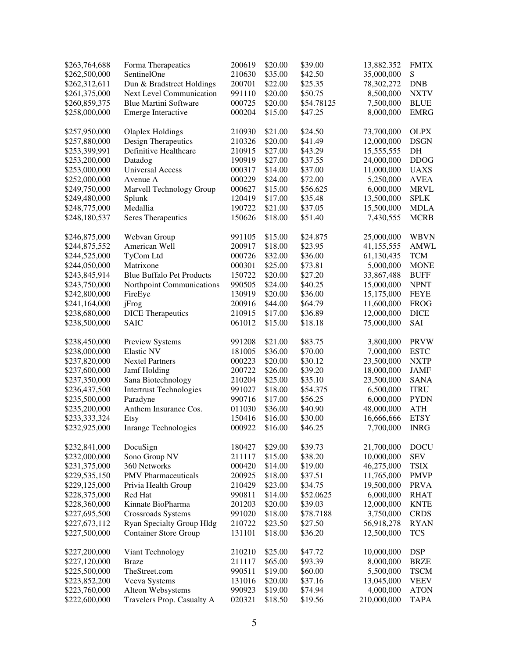| \$263,764,688 | Forma Therapeatics               | 200619 | \$20.00 | \$39.00    | 13,882.352  | <b>FMTX</b> |
|---------------|----------------------------------|--------|---------|------------|-------------|-------------|
| \$262,500,000 | SentinelOne                      | 210630 | \$35.00 | \$42.50    | 35,000,000  | S           |
| \$262,312,611 | Dun & Bradstreet Holdings        | 200701 | \$22.00 | \$25.35    | 78,302,272  | <b>DNB</b>  |
| \$261,375,000 | Next Level Communication         | 991110 | \$20.00 | \$50.75    | 8,500,000   | <b>NXTV</b> |
| \$260,859,375 | <b>Blue Martini Software</b>     | 000725 | \$20.00 | \$54.78125 | 7,500,000   | <b>BLUE</b> |
| \$258,000,000 | Emerge Interactive               | 000204 | \$15.00 | \$47.25    | 8,000,000   | <b>EMRG</b> |
|               |                                  |        |         |            |             |             |
| \$257,950,000 | <b>Olaplex Holdings</b>          | 210930 | \$21.00 | \$24.50    | 73,700,000  | <b>OLPX</b> |
| \$257,880,000 | Design Therapeutics              | 210326 | \$20.00 | \$41.49    | 12,000,000  | <b>DSGN</b> |
| \$253,399,991 | Definitive Healthcare            | 210915 | \$27.00 | \$43.29    | 15,555,555  | DH          |
| \$253,200,000 | Datadog                          | 190919 | \$27.00 | \$37.55    | 24,000,000  | <b>DDOG</b> |
| \$253,000,000 | <b>Universal Access</b>          | 000317 | \$14.00 | \$37.00    | 11,000,000  | <b>UAXS</b> |
| \$252,000,000 | Avenue A                         | 000229 | \$24.00 | \$72.00    | 5,250,000   | <b>AVEA</b> |
| \$249,750,000 | Marvell Technology Group         | 000627 | \$15.00 | \$56.625   | 6,000,000   | <b>MRVL</b> |
| \$249,480,000 | Splunk                           | 120419 | \$17.00 | \$35.48    | 13,500,000  | <b>SPLK</b> |
| \$248,775,000 | Medallia                         | 190722 | \$21.00 | \$37.05    | 15,500,000  | <b>MDLA</b> |
| \$248,180,537 | Seres Therapeutics               | 150626 | \$18.00 | \$51.40    | 7,430,555   | <b>MCRB</b> |
|               |                                  |        |         |            |             |             |
| \$246,875,000 | Webvan Group                     | 991105 | \$15.00 | \$24.875   | 25,000,000  | <b>WBVN</b> |
| \$244,875,552 | American Well                    | 200917 | \$18.00 | \$23.95    | 41,155,555  | <b>AMWL</b> |
| \$244,525,000 | TyCom Ltd                        | 000726 | \$32.00 | \$36.00    | 61,130,435  | <b>TCM</b>  |
| \$244,050,000 | Matrixone                        | 000301 | \$25.00 | \$73.81    | 5,000,000   | <b>MONE</b> |
| \$243,845,914 | <b>Blue Buffalo Pet Products</b> | 150722 | \$20.00 | \$27.20    | 33,867,488  | <b>BUFF</b> |
| \$243,750,000 | Northpoint Communications        | 990505 | \$24.00 | \$40.25    | 15,000,000  | <b>NPNT</b> |
| \$242,800,000 | FireEye                          | 130919 | \$20.00 | \$36.00    | 15,175,000  | <b>FEYE</b> |
| \$241,164,000 | jFrog                            | 200916 | \$44.00 | \$64.79    | 11,600,000  | <b>FROG</b> |
|               |                                  |        |         |            |             |             |
| \$238,680,000 | <b>DICE</b> Therapeutics         | 210915 | \$17.00 | \$36.89    | 12,000,000  | <b>DICE</b> |
| \$238,500,000 | <b>SAIC</b>                      | 061012 | \$15.00 | \$18.18    | 75,000,000  | SAI         |
| \$238,450,000 | Preview Systems                  | 991208 | \$21.00 | \$83.75    | 3,800,000   | <b>PRVW</b> |
| \$238,000,000 | <b>Elastic NV</b>                | 181005 | \$36.00 | \$70.00    | 7,000,000   | <b>ESTC</b> |
| \$237,820,000 | <b>Nextel Partners</b>           | 000223 | \$20.00 | \$30.12    | 23,500,000  | <b>NXTP</b> |
| \$237,600,000 | Jamf Holding                     | 200722 | \$26.00 | \$39.20    | 18,000,000  | <b>JAMF</b> |
| \$237,350,000 | Sana Biotechnology               | 210204 | \$25.00 | \$35.10    | 23,500,000  | <b>SANA</b> |
| \$236,437,500 | <b>Intertrust Technologies</b>   | 991027 | \$18.00 | \$54.375   | 6,500,000   | <b>ITRU</b> |
| \$235,500,000 | Paradyne                         | 990716 | \$17.00 | \$56.25    | 6,000,000   | <b>PYDN</b> |
| \$235,200,000 | Anthem Insurance Cos.            | 011030 | \$36.00 | \$40.90    | 48,000,000  | <b>ATH</b>  |
| \$233,333,324 | <b>Etsy</b>                      | 150416 | \$16.00 | \$30.00    | 16,666,666  | <b>ETSY</b> |
|               | <b>Inrange Technologies</b>      |        |         |            |             |             |
| \$232,925,000 |                                  | 000922 | \$16.00 | \$46.25    | 7,700,000   | <b>INRG</b> |
| \$232,841,000 | DocuSign                         | 180427 | \$29.00 | \$39.73    | 21,700,000  | <b>DOCU</b> |
| \$232,000,000 | Sono Group NV                    | 211117 | \$15.00 | \$38.20    | 10,000,000  | <b>SEV</b>  |
| \$231,375,000 | 360 Networks                     | 000420 | \$14.00 | \$19.00    | 46,275,000  | <b>TSIX</b> |
| \$229,535,150 | <b>PMV</b> Pharmaceuticals       | 200925 | \$18.00 | \$37.51    | 11,765,000  | <b>PMVP</b> |
| \$229,125,000 | Privia Health Group              | 210429 | \$23.00 | \$34.75    | 19,500,000  | <b>PRVA</b> |
| \$228,375,000 | Red Hat                          | 990811 | \$14.00 | \$52.0625  | 6,000,000   | <b>RHAT</b> |
| \$228,360,000 | Kinnate BioPharma                | 201203 | \$20.00 | \$39.03    | 12,000,000  | <b>KNTE</b> |
| \$227,695,500 | Crossroads Systems               | 991020 | \$18.00 | \$78.7188  | 3,750,000   | <b>CRDS</b> |
| \$227,673,112 | <b>Ryan Specialty Group Hldg</b> | 210722 | \$23.50 | \$27.50    | 56,918,278  | <b>RYAN</b> |
| \$227,500,000 | <b>Container Store Group</b>     | 131101 | \$18.00 | \$36.20    | 12,500,000  | <b>TCS</b>  |
|               |                                  |        |         |            |             |             |
| \$227,200,000 | Viant Technology                 | 210210 | \$25.00 | \$47.72    | 10,000,000  | <b>DSP</b>  |
| \$227,120,000 | <b>Braze</b>                     | 211117 | \$65.00 | \$93.39    | 8,000,000   | <b>BRZE</b> |
| \$225,500,000 | TheStreet.com                    | 990511 | \$19.00 | \$60.00    | 5,500,000   | <b>TSCM</b> |
| \$223,852,200 | Veeva Systems                    | 131016 | \$20.00 | \$37.16    | 13,045,000  | <b>VEEV</b> |
| \$223,760,000 | Alteon Websystems                | 990923 | \$19.00 | \$74.94    | 4,000,000   | <b>ATON</b> |
| \$222,600,000 | Travelers Prop. Casualty A       | 020321 | \$18.50 | \$19.56    | 210,000,000 | <b>TAPA</b> |
|               |                                  |        |         |            |             |             |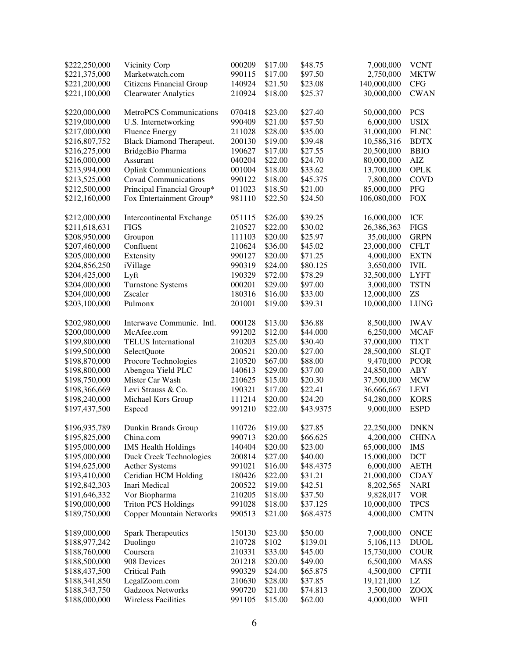| \$222,250,000 | Vicinity Corp                   | 000209 | \$17.00 | \$48.75   | 7,000,000   | <b>VCNT</b>  |
|---------------|---------------------------------|--------|---------|-----------|-------------|--------------|
| \$221,375,000 | Marketwatch.com                 | 990115 | \$17.00 | \$97.50   | 2,750,000   | <b>MKTW</b>  |
| \$221,200,000 | <b>Citizens Financial Group</b> | 140924 | \$21.50 | \$23.08   | 140,000,000 | <b>CFG</b>   |
| \$221,100,000 | <b>Clearwater Analytics</b>     | 210924 | \$18.00 | \$25.37   | 30,000,000  | <b>CWAN</b>  |
| \$220,000,000 | <b>MetroPCS</b> Communications  | 070418 | \$23.00 | \$27.40   | 50,000,000  | <b>PCS</b>   |
| \$219,000,000 | U.S. Internetworking            | 990409 | \$21.00 | \$57.50   | 6,000,000   | <b>USIX</b>  |
| \$217,000,000 | <b>Fluence Energy</b>           | 211028 | \$28.00 | \$35.00   | 31,000,000  | ${\rm FLNC}$ |
| \$216,807,752 | Black Diamond Therapeut.        | 200130 | \$19.00 | \$39.48   | 10,586,316  | <b>BDTX</b>  |
| \$216,275,000 | BridgeBio Pharma                | 190627 | \$17.00 | \$27.55   | 20,500,000  | <b>BBIO</b>  |
| \$216,000,000 | Assurant                        | 040204 | \$22.00 | \$24.70   | 80,000,000  | AIZ          |
| \$213,994,000 | <b>Oplink Communications</b>    | 001004 | \$18.00 | \$33.62   | 13,700,000  | <b>OPLK</b>  |
| \$213,525,000 | <b>Covad Communications</b>     | 990122 | \$18.00 | \$45.375  | 7,800,000   | COVD         |
| \$212,500,000 | Principal Financial Group*      | 011023 | \$18.50 | \$21.00   | 85,000,000  | PFG          |
| \$212,160,000 | Fox Entertainment Group*        | 981110 | \$22.50 | \$24.50   | 106,080,000 | <b>FOX</b>   |
| \$212,000,000 | Intercontinental Exchange       | 051115 | \$26.00 | \$39.25   | 16,000,000  | ICE          |
| \$211,618,631 | <b>FIGS</b>                     | 210527 | \$22.00 | \$30.02   | 26,386,363  | <b>FIGS</b>  |
| \$208,950,000 | Groupon                         | 111103 | \$20.00 | \$25.97   | 35,00,000   | <b>GRPN</b>  |
| \$207,460,000 | Confluent                       | 210624 | \$36.00 | \$45.02   | 23,000,000  | <b>CFLT</b>  |
| \$205,000,000 | Extensity                       | 990127 | \$20.00 | \$71.25   | 4,000,000   | <b>EXTN</b>  |
| \$204,856,250 | iVillage                        | 990319 | \$24.00 | \$80.125  | 3,650,000   | <b>IVIL</b>  |
| \$204,425,000 | Lyft                            | 190329 | \$72.00 | \$78.29   | 32,500,000  | <b>LYFT</b>  |
| \$204,000,000 | <b>Turnstone Systems</b>        | 000201 | \$29.00 | \$97.00   | 3,000,000   | <b>TSTN</b>  |
| \$204,000,000 | Zscaler                         | 180316 | \$16.00 | \$33.00   | 12,000,000  | ZS           |
| \$203,100,000 | Pulmonx                         | 201001 | \$19.00 | \$39.31   | 10,000,000  | <b>LUNG</b>  |
| \$202,980,000 | Interwave Communic. Intl.       | 000128 | \$13.00 | \$36.88   | 8,500,000   | <b>IWAV</b>  |
| \$200,000,000 | McAfee.com                      | 991202 | \$12.00 | \$44.000  | 6,250,000   | <b>MCAF</b>  |
| \$199,800,000 | <b>TELUS</b> International      | 210203 | \$25.00 | \$30.40   | 37,000,000  | <b>TIXT</b>  |
| \$199,500,000 | SelectQuote                     | 200521 | \$20.00 | \$27.00   | 28,500,000  | <b>SLQT</b>  |
| \$198,870,000 | Procore Technologies            | 210520 | \$67.00 | \$88.00   | 9,470,000   | <b>PCOR</b>  |
| \$198,800,000 | Abengoa Yield PLC               | 140613 | \$29.00 | \$37.00   | 24,850,000  | <b>ABY</b>   |
| \$198,750,000 | Mister Car Wash                 | 210625 | \$15.00 | \$20.30   | 37,500,000  | <b>MCW</b>   |
| \$198,366,669 | Levi Strauss & Co.              | 190321 | \$17.00 | \$22.41   | 36,666,667  | <b>LEVI</b>  |
| \$198,240,000 | Michael Kors Group              | 111214 | \$20.00 | \$24.20   | 54,280,000  | <b>KORS</b>  |
| \$197,437,500 | Espeed                          | 991210 | \$22.00 | \$43.9375 | 9,000,000   | <b>ESPD</b>  |
| \$196,935,789 | Dunkin Brands Group             | 110726 | \$19.00 | \$27.85   | 22,250,000  | <b>DNKN</b>  |
| \$195,825,000 | China.com                       | 990713 | \$20.00 | \$66.625  | 4,200,000   | <b>CHINA</b> |
| \$195,000,000 | <b>IMS Health Holdings</b>      | 140404 | \$20.00 | \$23.00   | 65,000,000  | <b>IMS</b>   |
| \$195,000,000 | Duck Creek Technologies         | 200814 | \$27.00 | \$40.00   | 15,000,000  | <b>DCT</b>   |
| \$194,625,000 | <b>Aether Systems</b>           | 991021 | \$16.00 | \$48.4375 | 6,000,000   | <b>AETH</b>  |
| \$193,410,000 | Ceridian HCM Holding            | 180426 | \$22.00 | \$31.21   | 21,000,000  | <b>CDAY</b>  |
| \$192,842,303 | Inari Medical                   | 200522 | \$19.00 | \$42.51   | 8,202,565   | <b>NARI</b>  |
| \$191,646,332 | Vor Biopharma                   | 210205 | \$18.00 | \$37.50   | 9,828,017   | <b>VOR</b>   |
| \$190,000,000 | <b>Triton PCS Holdings</b>      | 991028 | \$18.00 | \$37.125  | 10,000,000  | <b>TPCS</b>  |
| \$189,750,000 | <b>Copper Mountain Networks</b> | 990513 | \$21.00 | \$68.4375 | 4,000,000   | <b>CMTN</b>  |
| \$189,000,000 | <b>Spark Therapeutics</b>       | 150130 | \$23.00 | \$50.00   | 7,000,000   | <b>ONCE</b>  |
| \$188,977,242 | Duolingo                        | 210728 | \$102   | \$139.01  | 5,106,113   | <b>DUOL</b>  |
| \$188,760,000 | Coursera                        | 210331 | \$33.00 | \$45.00   | 15,730,000  | <b>COUR</b>  |
| \$188,500,000 | 908 Devices                     | 201218 | \$20.00 | \$49.00   | 6,500,000   | <b>MASS</b>  |
| \$188,437,500 | Critical Path                   | 990329 | \$24.00 | \$65.875  | 4,500,000   | <b>CPTH</b>  |
| \$188,341,850 | LegalZoom.com                   | 210630 | \$28.00 | \$37.85   | 19,121,000  | LZ           |
| \$188,343,750 | Gadzoox Networks                | 990720 | \$21.00 | \$74.813  | 3,500,000   | <b>ZOOX</b>  |
| \$188,000,000 | <b>Wireless Facilities</b>      | 991105 | \$15.00 | \$62.00   | 4,000,000   | WFII         |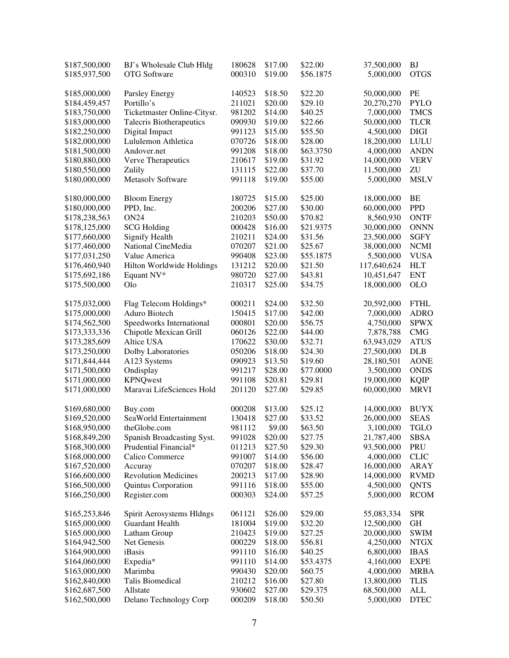| \$187,500,000 | BJ's Wholesale Club Hldg        | 180628 | \$17.00 | \$22.00   | 37,500,000  | <b>BJ</b>   |
|---------------|---------------------------------|--------|---------|-----------|-------------|-------------|
| \$185,937,500 | <b>OTG</b> Software             | 000310 | \$19.00 | \$56.1875 | 5,000,000   | <b>OTGS</b> |
|               |                                 |        |         |           |             |             |
| \$185,000,000 | Parsley Energy                  | 140523 | \$18.50 | \$22.20   | 50,000,000  | PE          |
| \$184,459,457 | Portillo's                      | 211021 | \$20.00 | \$29.10   | 20,270,270  | <b>PYLO</b> |
| \$183,750,000 | Ticketmaster Online-Citysr.     | 981202 | \$14.00 | \$40.25   | 7,000,000   | <b>TMCS</b> |
| \$183,000,000 | <b>Talecris Biotherapeutics</b> | 090930 | \$19.00 | \$22.66   | 50,000,000  | <b>TLCR</b> |
| \$182,250,000 | Digital Impact                  | 991123 | \$15.00 | \$55.50   | 4,500,000   | <b>DIGI</b> |
| \$182,000,000 | Lululemon Athletica             | 070726 | \$18.00 | \$28.00   | 18,200,000  | LULU        |
| \$181,500,000 | Andover.net                     | 991208 | \$18.00 | \$63.3750 | 4,000,000   | <b>ANDN</b> |
| \$180,880,000 | Verve Therapeutics              | 210617 | \$19.00 | \$31.92   | 14,000,000  | <b>VERV</b> |
| \$180,550,000 | Zulily                          | 131115 | \$22.00 | \$37.70   | 11,500,000  | ZU          |
| \$180,000,000 | Metasolv Software               | 991118 | \$19.00 | \$55.00   | 5,000,000   | <b>MSLV</b> |
| \$180,000,000 | <b>Bloom Energy</b>             | 180725 | \$15.00 | \$25.00   | 18,000,000  | BE          |
| \$180,000,000 | PPD, Inc.                       | 200206 | \$27.00 | \$30.00   | 60,000,000  | <b>PPD</b>  |
| \$178,238,563 | <b>ON24</b>                     | 210203 | \$50.00 | \$70.82   | 8,560,930   | <b>ONTF</b> |
| \$178,125,000 | <b>SCG Holding</b>              | 000428 | \$16.00 | \$21.9375 | 30,000,000  | <b>ONNN</b> |
| \$177,660,000 | <b>Signify Health</b>           | 210211 | \$24.00 | \$31.56   | 23,500,000  | <b>SGFY</b> |
| \$177,460,000 | National CineMedia              | 070207 | \$21.00 | \$25.67   | 38,000,000  | <b>NCMI</b> |
|               | Value America                   | 990408 | \$23.00 | \$55.1875 | 5,500,000   | <b>VUSA</b> |
| \$177,031,250 |                                 | 131212 |         |           |             | <b>HLT</b>  |
| \$176,460,940 | Hilton Worldwide Holdings       |        | \$20.00 | \$21.50   | 117,640,624 |             |
| \$175,692,186 | Equant NV*                      | 980720 | \$27.00 | \$43.81   | 10,451,647  | <b>ENT</b>  |
| \$175,500,000 | Olo                             | 210317 | \$25.00 | \$34.75   | 18,000,000  | <b>OLO</b>  |
| \$175,032,000 | Flag Telecom Holdings*          | 000211 | \$24.00 | \$32.50   | 20,592,000  | <b>FTHL</b> |
| \$175,000,000 | Aduro Biotech                   | 150415 | \$17.00 | \$42.00   | 7,000,000   | <b>ADRO</b> |
| \$174,562,500 | Speedworks International        | 000801 | \$20.00 | \$56.75   | 4,750,000   | <b>SPWX</b> |
| \$173,333,336 | Chipotle Mexican Grill          | 060126 | \$22.00 | \$44.00   | 7,878,788   | CMG         |
| \$173,285,609 | Altice USA                      | 170622 | \$30.00 | \$32.71   | 63,943,029  | <b>ATUS</b> |
| \$173,250,000 | Dolby Laboratories              | 050206 | \$18.00 | \$24.30   | 27,500,000  | <b>DLB</b>  |
| \$171,844,444 | A123 Systems                    | 090923 | \$13.50 | \$19.60   | 28,180,501  | <b>AONE</b> |
| \$171,500,000 | Ondisplay                       | 991217 | \$28.00 | \$77.0000 | 3,500,000   | <b>ONDS</b> |
| \$171,000,000 | <b>KPNQwest</b>                 | 991108 | \$20.81 | \$29.81   | 19,000,000  | <b>KQIP</b> |
| \$171,000,000 | Maravai LifeSciences Hold       | 201120 | \$27.00 | \$29.85   | 60,000,000  | <b>MRVI</b> |
|               |                                 |        |         |           |             |             |
| \$169,680,000 | Buy.com                         | 000208 | \$13.00 | \$25.12   | 14,000,000  | <b>BUYX</b> |
| \$169,520,000 | SeaWorld Entertainment          | 130418 | \$27.00 | \$33.52   | 26,000,000  | <b>SEAS</b> |
| \$168,950,000 | theGlobe.com                    | 981112 | \$9.00  | \$63.50   | 3,100,000   | <b>TGLO</b> |
| \$168,849,200 | Spanish Broadcasting Syst.      | 991028 | \$20.00 | \$27.75   | 21,787,400  | <b>SBSA</b> |
| \$168,300,000 | Prudential Financial*           | 011213 | \$27.50 | \$29.30   | 93,500,000  | PRU         |
| \$168,000,000 | Calico Commerce                 | 991007 | \$14.00 | \$56.00   | 4,000,000   | <b>CLIC</b> |
| \$167,520,000 | Accuray                         | 070207 | \$18.00 | \$28.47   | 16,000,000  | <b>ARAY</b> |
| \$166,600,000 | <b>Revolution Medicines</b>     | 200213 | \$17.00 | \$28.90   | 14,000,000  | <b>RVMD</b> |
| \$166,500,000 | Quintus Corporation             | 991116 | \$18.00 | \$55.00   | 4,500,000   | QNTS        |
| \$166,250,000 | Register.com                    | 000303 | \$24.00 | \$57.25   | 5,000,000   | <b>RCOM</b> |
| \$165,253,846 | Spirit Aerosystems Hldngs       | 061121 | \$26.00 | \$29.00   | 55,083,334  | <b>SPR</b>  |
| \$165,000,000 | Guardant Health                 | 181004 | \$19.00 | \$32.20   | 12,500,000  | GH          |
| \$165.000,000 | Latham Group                    | 210423 | \$19.00 | \$27.25   | 20,000,000  | <b>SWIM</b> |
| \$164,942,500 | Net Genesis                     | 000229 | \$18.00 | \$56.81   | 4,250,000   | NTGX        |
|               | iBasis                          |        | \$16.00 |           | 6,800,000   |             |
| \$164,900,000 |                                 | 991110 |         | \$40.25   |             | <b>IBAS</b> |
| \$164,060,000 | Expedia*                        | 991110 | \$14.00 | \$53.4375 | 4,160,000   | <b>EXPE</b> |
| \$163,000,000 | Marimba                         | 990430 | \$20.00 | \$60.75   | 4,000,000   | <b>MRBA</b> |
| \$162,840,000 | Talis Biomedical                | 210212 | \$16.00 | \$27.80   | 13,800,000  | <b>TLIS</b> |
| \$162,687,500 | Allstate                        | 930602 | \$27.00 | \$29.375  | 68,500,000  | ALL         |
| \$162,500,000 | Delano Technology Corp          | 000209 | \$18.00 | \$50.50   | 5,000,000   | <b>DTEC</b> |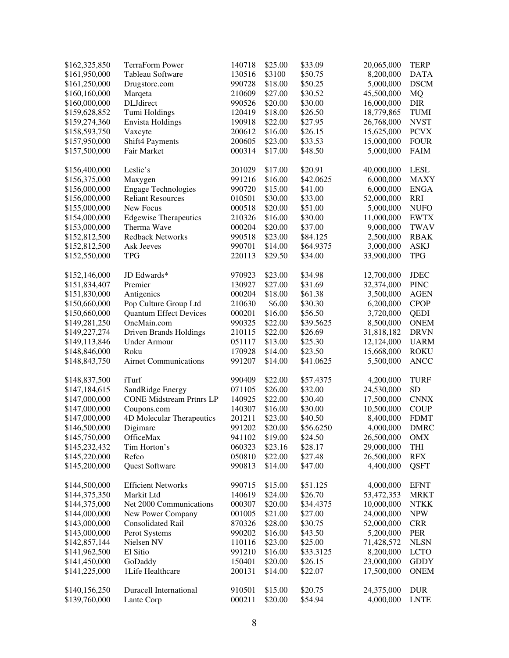| \$162,325,850 | <b>TerraForm Power</b>          | 140718 | \$25.00 | \$33.09   | 20,065,000 | <b>TERP</b> |
|---------------|---------------------------------|--------|---------|-----------|------------|-------------|
| \$161,950,000 | Tableau Software                | 130516 | \$3100  | \$50.75   | 8,200,000  | <b>DATA</b> |
| \$161,250,000 | Drugstore.com                   | 990728 | \$18.00 | \$50.25   | 5,000,000  | <b>DSCM</b> |
| \$160,160,000 | Marqeta                         | 210609 | \$27.00 | \$30.52   | 45,500,000 | MQ          |
| \$160,000,000 | <b>DLJdirect</b>                | 990526 | \$20.00 | \$30.00   | 16,000,000 | <b>DIR</b>  |
| \$159,628,852 | Tumi Holdings                   | 120419 | \$18.00 | \$26.50   | 18,779,865 | TUMI        |
| \$159,274,360 | <b>Envista Holdings</b>         | 190918 | \$22.00 | \$27.95   | 26,768,000 | <b>NVST</b> |
| \$158,593,750 | Vaxcyte                         | 200612 | \$16.00 | \$26.15   | 15,625,000 | <b>PCVX</b> |
| \$157,950,000 | Shift4 Payments                 | 200605 | \$23.00 | \$33.53   | 15,000,000 | <b>FOUR</b> |
| \$157,500,000 | <b>Fair Market</b>              | 000314 | \$17.00 | \$48.50   | 5,000,000  | <b>FAIM</b> |
| \$156,400,000 | Leslie's                        | 201029 | \$17.00 | \$20.91   | 40,000,000 | <b>LESL</b> |
| \$156,375,000 | Maxygen                         | 991216 | \$16.00 | \$42.0625 | 6,000,000  | <b>MAXY</b> |
| \$156,000,000 | <b>Engage Technologies</b>      | 990720 | \$15.00 | \$41.00   | 6,000,000  | <b>ENGA</b> |
| \$156,000,000 | <b>Reliant Resources</b>        | 010501 | \$30.00 | \$33.00   | 52,000,000 | <b>RRI</b>  |
| \$155,000,000 | New Focus                       | 000518 | \$20.00 | \$51.00   | 5,000,000  | <b>NUFO</b> |
| \$154,000,000 | <b>Edgewise Therapeutics</b>    | 210326 | \$16.00 | \$30.00   | 11,000,000 | <b>EWTX</b> |
| \$153,000,000 | Therma Wave                     | 000204 | \$20.00 | \$37.00   | 9,000,000  | <b>TWAV</b> |
| \$152,812,500 | <b>Redback Networks</b>         | 990518 | \$23.00 | \$84.125  | 2,500,000  | <b>RBAK</b> |
| \$152,812,500 | Ask Jeeves                      | 990701 | \$14.00 | \$64.9375 | 3,000,000  | ASKJ        |
| \$152,550,000 | <b>TPG</b>                      | 220113 | \$29.50 | \$34.00   | 33,900,000 | <b>TPG</b>  |
| \$152,146,000 | JD Edwards*                     | 970923 | \$23.00 | \$34.98   | 12,700,000 | <b>JDEC</b> |
| \$151,834,407 | Premier                         | 130927 | \$27.00 | \$31.69   | 32,374,000 | <b>PINC</b> |
| \$151,830,000 | Antigenics                      | 000204 | \$18.00 | \$61.38   | 3,500,000  | <b>AGEN</b> |
| \$150,660,000 | Pop Culture Group Ltd           | 210630 | \$6.00  | \$30.30   | 6,200,000  | <b>CPOP</b> |
| \$150,660,000 | <b>Quantum Effect Devices</b>   | 000201 | \$16.00 | \$56.50   | 3,720,000  | <b>QEDI</b> |
| \$149,281,250 | OneMain.com                     | 990325 | \$22.00 | \$39.5625 | 8,500,000  | <b>ONEM</b> |
| \$149,227,274 | Driven Brands Holdings          | 210115 | \$22.00 | \$26.69   | 31,818,182 | <b>DRVN</b> |
| \$149,113,846 | <b>Under Armour</b>             | 051117 | \$13.00 | \$25.30   | 12,124,000 | <b>UARM</b> |
| \$148,846,000 | Roku                            | 170928 | \$14.00 | \$23.50   | 15,668,000 | <b>ROKU</b> |
| \$148,843,750 | <b>Airnet Communications</b>    | 991207 | \$14.00 | \$41.0625 | 5,500,000  | <b>ANCC</b> |
| \$148,837,500 | iTurf                           | 990409 | \$22.00 | \$57.4375 | 4,200,000  | <b>TURF</b> |
| \$147,184,615 | SandRidge Energy                | 071105 | \$26.00 | \$32.00   | 24,530,000 | <b>SD</b>   |
| \$147,000,000 | <b>CONE Midstream Prtnrs LP</b> | 140925 | \$22.00 | \$30.40   | 17,500,000 | <b>CNNX</b> |
| \$147,000,000 | Coupons.com                     | 140307 | \$16.00 | \$30.00   | 10,500,000 | <b>COUP</b> |
| \$147,000,000 | 4D Molecular Therapeutics       | 201211 | \$23.00 | \$40.50   | 8,400,000  | <b>FDMT</b> |
| \$146,500,000 | Digimarc                        | 991202 | \$20.00 | \$56.6250 | 4,000,000  | <b>DMRC</b> |
| \$145,750,000 | OfficeMax                       | 941102 | \$19.00 | \$24.50   | 26,500,000 | OMX         |
| \$145,232,432 | Tim Horton's                    | 060323 | \$23.16 | \$28.17   | 29,000,000 | THI         |
| \$145,220,000 | Refco                           | 050810 | \$22.00 | \$27.48   | 26,500,000 | <b>RFX</b>  |
| \$145,200,000 | <b>Quest Software</b>           | 990813 | \$14.00 | \$47.00   | 4,400,000  | QSFT        |
| \$144,500,000 | <b>Efficient Networks</b>       | 990715 | \$15.00 | \$51.125  | 4,000,000  | <b>EFNT</b> |
| \$144,375,350 | Markit Ltd                      | 140619 | \$24.00 | \$26.70   | 53,472,353 | <b>MRKT</b> |
| \$144,375,000 | Net 2000 Communications         | 000307 | \$20.00 | \$34.4375 | 10,000,000 | <b>NTKK</b> |
| \$144,000,000 | New Power Company               | 001005 | \$21.00 | \$27.00   | 24,000,000 | <b>NPW</b>  |
| \$143,000,000 | <b>Consolidated Rail</b>        | 870326 | \$28.00 | \$30.75   | 52,000,000 | <b>CRR</b>  |
| \$143,000,000 | Perot Systems                   | 990202 | \$16.00 | \$43.50   | 5,200,000  | PER         |
| \$142,857,144 | Nielsen NV                      | 110116 | \$23.00 | \$25.00   | 71,428,572 | <b>NLSN</b> |
| \$141,962,500 | El Sitio                        | 991210 | \$16.00 | \$33.3125 | 8,200,000  | <b>LCTO</b> |
| \$141,450,000 | GoDaddy                         | 150401 | \$20.00 | \$26.15   | 23,000,000 | <b>GDDY</b> |
| \$141,225,000 | 1Life Healthcare                | 200131 | \$14.00 | \$22.07   | 17,500,000 | <b>ONEM</b> |
| \$140,156,250 | Duracell International          | 910501 | \$15.00 | \$20.75   | 24,375,000 | <b>DUR</b>  |
| \$139,760,000 | Lante Corp                      | 000211 | \$20.00 | \$54.94   | 4,000,000  | <b>LNTE</b> |